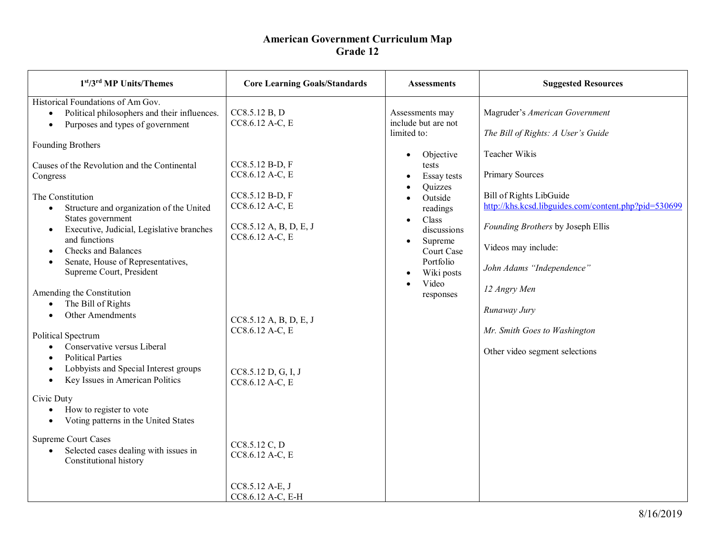## **American Government Curriculum Map Grade 12**

| 1st/3rd MP Units/Themes                                                                                                                                                                                                                                                                                                                                                                                                                                                                                                                                                                                                    | <b>Core Learning Goals/Standards</b>                                                                                                                                                                   | <b>Assessments</b>                                                                                                                                                                                                                          | <b>Suggested Resources</b>                                                                                                                                                                                                                                                                                                                                  |
|----------------------------------------------------------------------------------------------------------------------------------------------------------------------------------------------------------------------------------------------------------------------------------------------------------------------------------------------------------------------------------------------------------------------------------------------------------------------------------------------------------------------------------------------------------------------------------------------------------------------------|--------------------------------------------------------------------------------------------------------------------------------------------------------------------------------------------------------|---------------------------------------------------------------------------------------------------------------------------------------------------------------------------------------------------------------------------------------------|-------------------------------------------------------------------------------------------------------------------------------------------------------------------------------------------------------------------------------------------------------------------------------------------------------------------------------------------------------------|
| Historical Foundations of Am Gov.<br>Political philosophers and their influences.<br>$\bullet$<br>Purposes and types of government<br>$\bullet$<br>Founding Brothers<br>Causes of the Revolution and the Continental<br>Congress<br>The Constitution<br>Structure and organization of the United<br>$\bullet$<br>States government<br>Executive, Judicial, Legislative branches<br>$\bullet$<br>and functions<br><b>Checks and Balances</b><br>Senate, House of Representatives,<br>$\bullet$<br>Supreme Court, President<br>Amending the Constitution<br>The Bill of Rights<br>$\bullet$<br>Other Amendments<br>$\bullet$ | CC8.5.12 B, D<br>CC8.6.12 A-C, E<br>CC8.5.12 B-D, F<br>CC8.6.12 A-C, E<br>CC8.5.12 B-D, F<br>CC8.6.12 A-C, E<br>CC8.5.12 A, B, D, E, J<br>CC8.6.12 A-C, E<br>CC8.5.12 A, B, D, E, J<br>CC8.6.12 A-C, E | Assessments may<br>include but are not<br>limited to:<br>Objective<br>$\bullet$<br>tests<br>Essay tests<br>Quizzes<br>Outside<br>readings<br>Class<br>discussions<br>Supreme<br>Court Case<br>Portfolio<br>Wiki posts<br>Video<br>responses | Magruder's American Government<br>The Bill of Rights: A User's Guide<br>Teacher Wikis<br><b>Primary Sources</b><br>Bill of Rights LibGuide<br>http://khs.kcsd.libguides.com/content.php?pid=530699<br>Founding Brothers by Joseph Ellis<br>Videos may include:<br>John Adams "Independence"<br>12 Angry Men<br>Runaway Jury<br>Mr. Smith Goes to Washington |
| Political Spectrum<br>Conservative versus Liberal<br><b>Political Parties</b><br>Lobbyists and Special Interest groups<br>$\bullet$<br>Key Issues in American Politics<br>$\bullet$<br>Civic Duty<br>How to register to vote<br>Voting patterns in the United States<br>$\bullet$<br>Supreme Court Cases<br>Selected cases dealing with issues in<br>Constitutional history                                                                                                                                                                                                                                                | CC8.5.12 D, G, I, J<br>CC8.6.12 A-C, E<br>CC8.5.12 C, D<br>CC8.6.12 A-C, E<br>CC8.5.12 A-E, J<br>CC8.6.12 A-C, E-H                                                                                     |                                                                                                                                                                                                                                             | Other video segment selections                                                                                                                                                                                                                                                                                                                              |